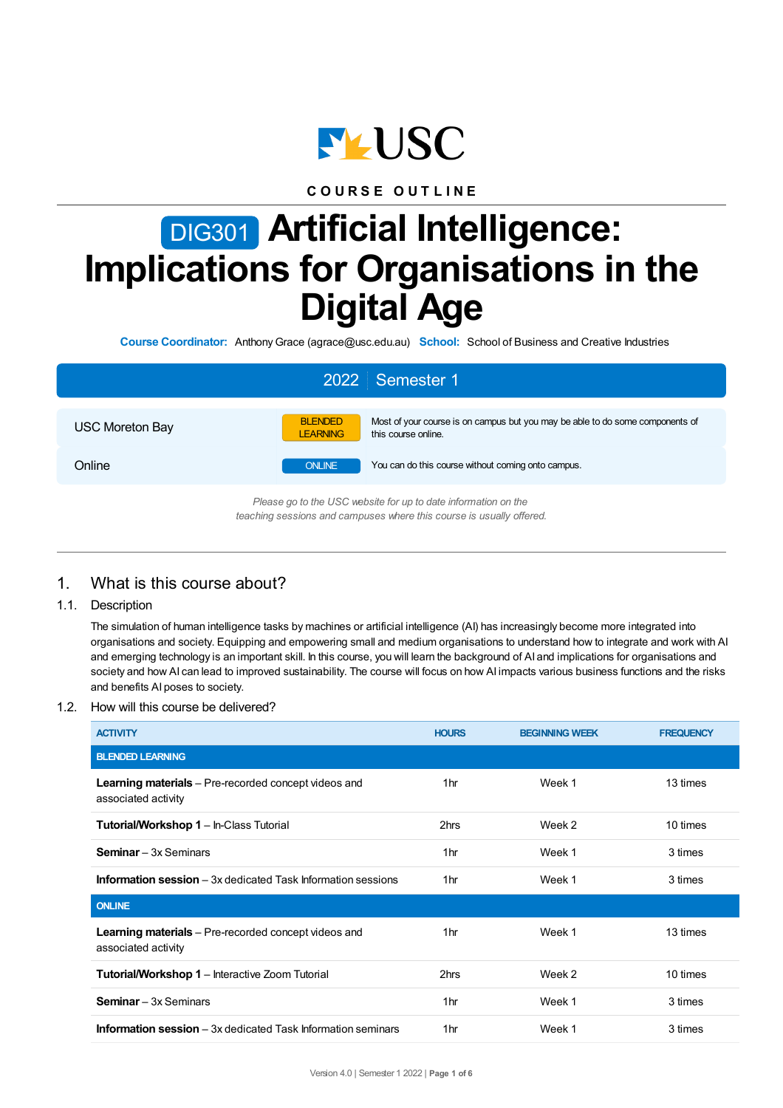

**C O U R S E O U T L I N E**

# DIG301 **Artificial Intelligence: Implications for Organisations in the Digital Age**

**Course Coordinator:** AnthonyGrace (agrace@usc.edu.au) **School:** School of Business and Creative Industries

| 2022 Semester 1        |                                   |                                                                                                      |  |  |  |
|------------------------|-----------------------------------|------------------------------------------------------------------------------------------------------|--|--|--|
| <b>USC Moreton Bay</b> | <b>BLENDED</b><br><b>LEARNING</b> | Most of your course is on campus but you may be able to do some components of<br>this course online. |  |  |  |
| Online                 | <b>ONLINE</b>                     | You can do this course without coming onto campus.                                                   |  |  |  |
|                        |                                   | Please go to the USC website for up to date information on the                                       |  |  |  |

*teaching sessions and campuses where this course is usually offered.*

# 1. What is this course about?

1.1. Description

The simulation of human intelligence tasks by machines or artificial intelligence (AI) has increasingly become more integrated into organisations and society. Equipping and empowering small and medium organisations to understand how to integrate and work with AI and emerging technology is an important skill. In this course, you will learn the background of AI and implications for organisations and society and how AI can lead to improved sustainability. The course will focus on how AI impacts various business functions and the risks and benefits AI poses to society.

#### 1.2. How will this course be delivered?

| <b>ACTIVITY</b>                                                                    | <b>HOURS</b>    | <b>BEGINNING WEEK</b> | <b>FREQUENCY</b> |
|------------------------------------------------------------------------------------|-----------------|-----------------------|------------------|
| <b>BLENDED LEARNING</b>                                                            |                 |                       |                  |
| <b>Learning materials</b> – Pre-recorded concept videos and<br>associated activity | 1hr             | Week 1                | 13 times         |
| Tutorial/Workshop 1 - In-Class Tutorial                                            | 2hrs            | Week 2                | 10 times         |
| <b>Seminar</b> – 3x Seminars                                                       | 1 <sub>hr</sub> | Week 1                | 3 times          |
| <b>Information session</b> $-3x$ dedicated Task Information sessions               | 1hr             | Week 1                | 3 times          |
| <b>ONLINE</b>                                                                      |                 |                       |                  |
| <b>Learning materials</b> – Pre-recorded concept videos and<br>associated activity | 1hr             | Week 1                | 13 times         |
| <b>Tutorial/Workshop 1 - Interactive Zoom Tutorial</b>                             | 2hrs            | Week 2                | 10 times         |
| <b>Seminar</b> – 3x Seminars                                                       | 1 <sub>hr</sub> | Week 1                | 3 times          |
| <b>Information session</b> – 3x dedicated Task Information seminars                | 1hr             | Week 1                | 3 times          |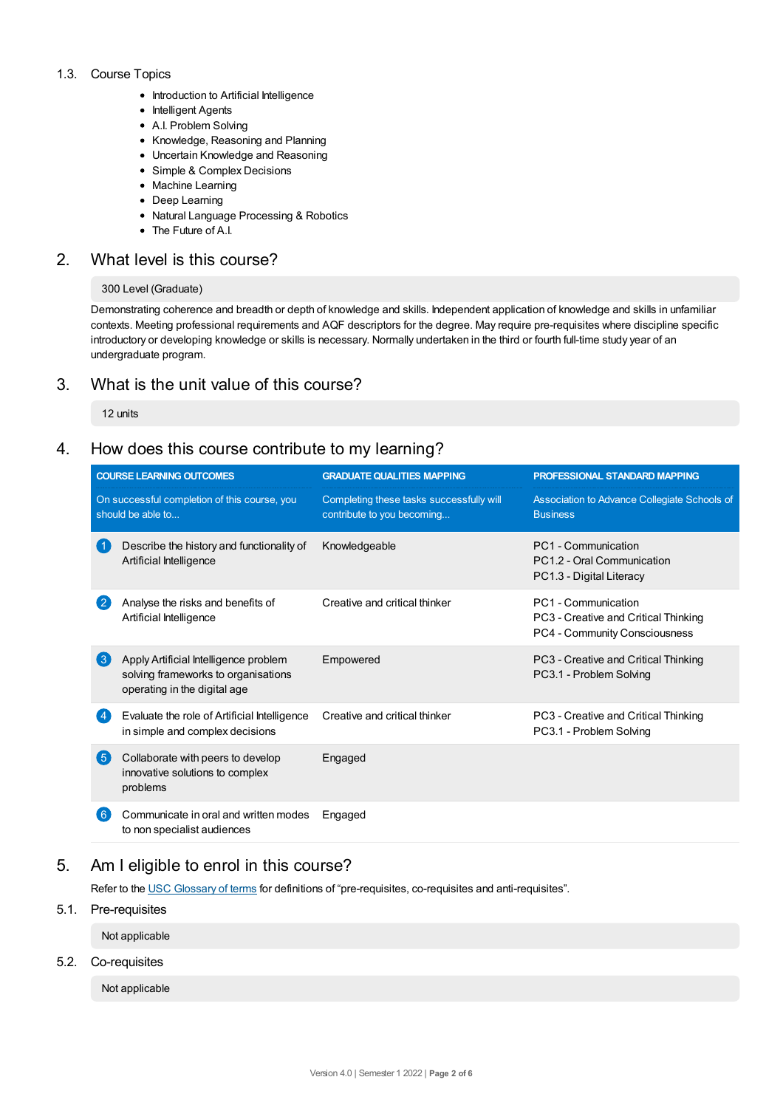#### 1.3. Course Topics

- Introduction to Artificial Intelligence
- Intelligent Agents
- A.I. Problem Solving
- Knowledge, Reasoning and Planning
- Uncertain Knowledge and Reasoning
- Simple & Complex Decisions
- Machine Learning
- Deep Learning
- Natural Language Processing & Robotics
- The Future of A.I.

# 2. What level is this course?

#### 300 Level (Graduate)

Demonstrating coherence and breadth or depth of knowledge and skills. Independent application of knowledge and skills in unfamiliar contexts. Meeting professional requirements and AQF descriptors for the degree. May require pre-requisites where discipline specific introductory or developing knowledge or skills is necessary. Normally undertaken in the third or fourth full-time study year of an undergraduate program.

# 3. What is the unit value of this course?

12 units

# 4. How does this course contribute to my learning?

| <b>COURSE LEARNING OUTCOMES</b>                                   |                                                                                                              | <b>GRADUATE QUALITIES MAPPING</b>                                      | PROFESSIONAL STANDARD MAPPING                                                                |  |
|-------------------------------------------------------------------|--------------------------------------------------------------------------------------------------------------|------------------------------------------------------------------------|----------------------------------------------------------------------------------------------|--|
| On successful completion of this course, you<br>should be able to |                                                                                                              | Completing these tasks successfully will<br>contribute to you becoming | Association to Advance Collegiate Schools of<br><b>Business</b>                              |  |
|                                                                   | Describe the history and functionality of<br>Artificial Intelligence                                         | Knowledgeable                                                          | PC1 - Communication<br>PC1.2 - Oral Communication<br>PC1.3 - Digital Literacy                |  |
| $\overline{2}$                                                    | Analyse the risks and benefits of<br>Artificial Intelligence                                                 | Creative and critical thinker                                          | PC1 - Communication<br>PC3 - Creative and Critical Thinking<br>PC4 - Community Consciousness |  |
| $\left( 3\right)$                                                 | Apply Artificial Intelligence problem<br>solving frameworks to organisations<br>operating in the digital age | Empowered                                                              | PC3 - Creative and Critical Thinking<br>PC3.1 - Problem Solving                              |  |
| $\overline{4}$                                                    | Evaluate the role of Artificial Intelligence<br>in simple and complex decisions                              | Creative and critical thinker                                          | PC3 - Creative and Critical Thinking<br>PC3.1 - Problem Solving                              |  |
| 6                                                                 | Collaborate with peers to develop<br>innovative solutions to complex<br>problems                             | Engaged                                                                |                                                                                              |  |
| $6^{\circ}$                                                       | Communicate in oral and written modes<br>to non specialist audiences                                         | Engaged                                                                |                                                                                              |  |

# 5. Am Ieligible to enrol in this course?

Refer to the USC [Glossary](https://www.usc.edu.au/about/policies-and-procedures/glossary-of-terms-for-policy-and-procedures) of terms for definitions of "pre-requisites, co-requisites and anti-requisites".

### 5.1. Pre-requisites

Not applicable

#### 5.2. Co-requisites

Not applicable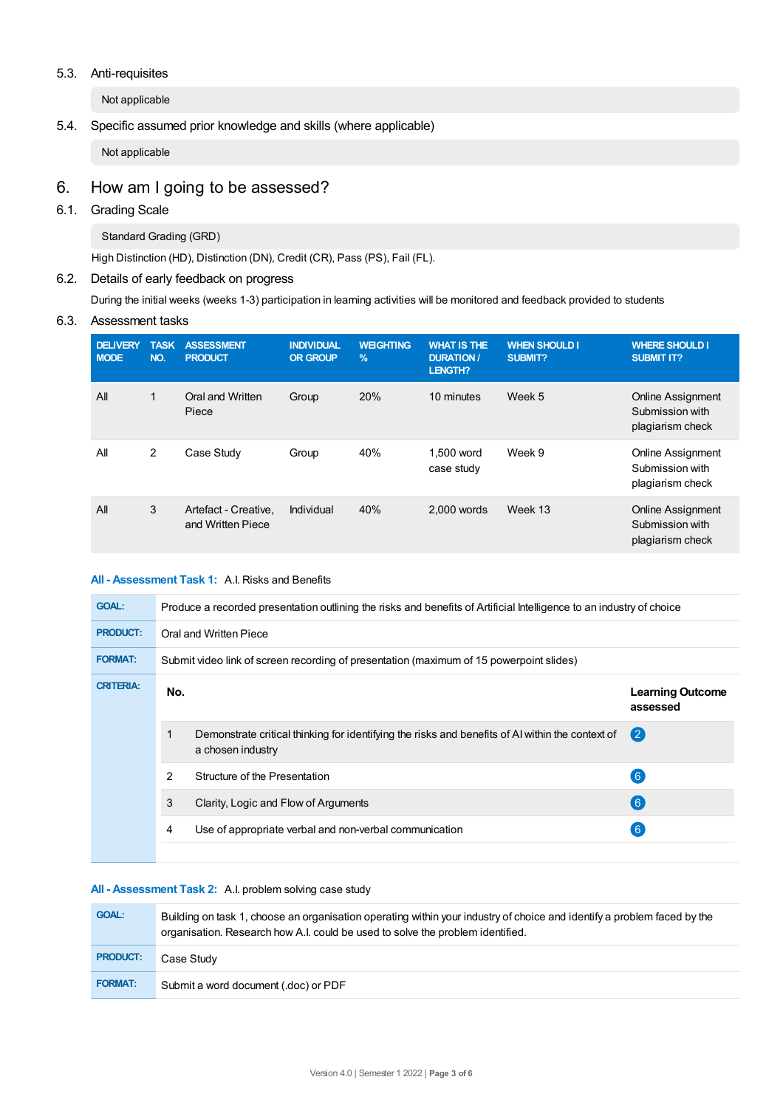#### 5.3. Anti-requisites

Not applicable

### 5.4. Specific assumed prior knowledge and skills (where applicable)

Not applicable

# 6. How am Igoing to be assessed?

# 6.1. Grading Scale

Standard Grading (GRD)

High Distinction (HD), Distinction (DN), Credit (CR), Pass (PS), Fail (FL).

#### 6.2. Details of early feedback on progress

During the initial weeks (weeks 1-3) participation in learning activities will be monitored and feedback provided to students

#### 6.3. Assessment tasks

| <b>DELIVERY</b><br><b>MODE</b> | <b>TASK</b><br>NO. | <b>ASSESSMENT</b><br><b>PRODUCT</b>       | <b>INDIVIDUAL</b><br><b>OR GROUP</b> | <b>WEIGHTING</b><br>$\frac{9}{6}$ | <b>WHAT IS THE</b><br><b>DURATION/</b><br>LENGTH? | <b>WHEN SHOULD I</b><br>SUBMIT? | <b>WHERE SHOULD I</b><br><b>SUBMIT IT?</b>                      |
|--------------------------------|--------------------|-------------------------------------------|--------------------------------------|-----------------------------------|---------------------------------------------------|---------------------------------|-----------------------------------------------------------------|
| All                            | 1                  | Oral and Written<br>Piece                 | Group                                | 20%                               | 10 minutes                                        | Week 5                          | <b>Online Assignment</b><br>Submission with<br>plagiarism check |
| All                            | 2                  | Case Study                                | Group                                | 40%                               | 1,500 word<br>case study                          | Week 9                          | <b>Online Assignment</b><br>Submission with<br>plagiarism check |
| All                            | 3                  | Artefact - Creative,<br>and Written Piece | Individual                           | 40%                               | $2.000$ words                                     | Week 13                         | <b>Online Assignment</b><br>Submission with<br>plagiarism check |

#### **All - Assessment Task 1:** A.I. Risks and Benefits

| <b>GOAL:</b>     | Produce a recorded presentation outlining the risks and benefits of Artificial Intelligence to an industry of choice |                                                                                                                       |                                     |  |  |
|------------------|----------------------------------------------------------------------------------------------------------------------|-----------------------------------------------------------------------------------------------------------------------|-------------------------------------|--|--|
| <b>PRODUCT:</b>  | Oral and Written Piece                                                                                               |                                                                                                                       |                                     |  |  |
| <b>FORMAT:</b>   | Submit video link of screen recording of presentation (maximum of 15 powerpoint slides)                              |                                                                                                                       |                                     |  |  |
| <b>CRITERIA:</b> | No.                                                                                                                  |                                                                                                                       | <b>Learning Outcome</b><br>assessed |  |  |
|                  |                                                                                                                      | Demonstrate critical thinking for identifying the risks and benefits of AI within the context of<br>a chosen industry | $\mathbf{C}$                        |  |  |
|                  | 2                                                                                                                    | Structure of the Presentation                                                                                         | $6^{\circ}$                         |  |  |
|                  | 3                                                                                                                    | Clarity, Logic and Flow of Arguments                                                                                  | 6                                   |  |  |
|                  | 4                                                                                                                    | Use of appropriate verbal and non-verbal communication                                                                | $6^{\circ}$                         |  |  |
|                  |                                                                                                                      |                                                                                                                       |                                     |  |  |

#### **All - Assessment Task 2:** A.I. problem solving case study

| <b>GOAL:</b>    | Building on task 1, choose an organisation operating within your industry of choice and identify a problem faced by the<br>organisation. Research how A.I. could be used to solve the problem identified. |
|-----------------|-----------------------------------------------------------------------------------------------------------------------------------------------------------------------------------------------------------|
| <b>PRODUCT:</b> | Case Study                                                                                                                                                                                                |
| <b>FORMAT:</b>  | Submit a word document (.doc) or PDF                                                                                                                                                                      |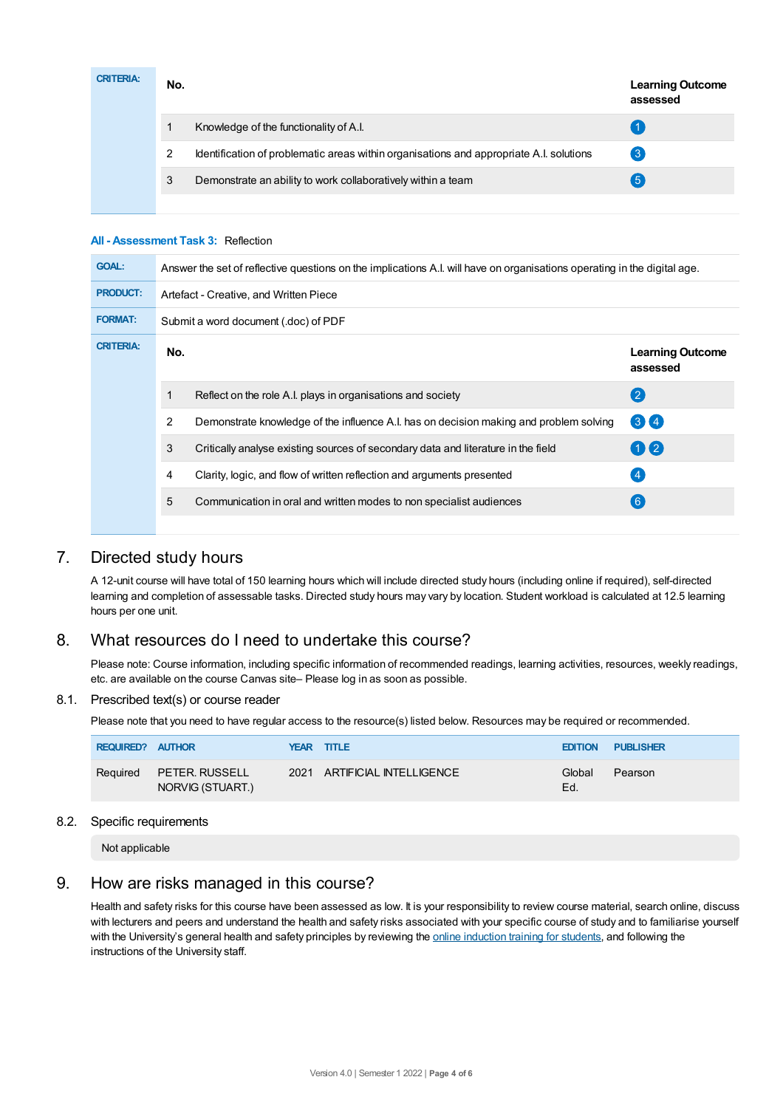| <b>CRITERIA:</b> | No. |                                                                                         | <b>Learning Outcome</b><br>assessed |
|------------------|-----|-----------------------------------------------------------------------------------------|-------------------------------------|
|                  |     | Knowledge of the functionality of A.I.                                                  |                                     |
|                  | ົ   | Identification of problematic areas within organisations and appropriate A.I. solutions | $\mathbf{3}$                        |
|                  | 3   | Demonstrate an ability to work collaboratively within a team                            | 5                                   |
|                  |     |                                                                                         |                                     |

#### **All - Assessment Task 3:** Reflection

| <b>GOAL:</b>     | Answer the set of reflective questions on the implications A.I. will have on organisations operating in the digital age. |                                                                                        |                                     |  |  |
|------------------|--------------------------------------------------------------------------------------------------------------------------|----------------------------------------------------------------------------------------|-------------------------------------|--|--|
| <b>PRODUCT:</b>  | Artefact - Creative, and Written Piece                                                                                   |                                                                                        |                                     |  |  |
| <b>FORMAT:</b>   | Submit a word document (.doc) of PDF                                                                                     |                                                                                        |                                     |  |  |
| <b>CRITERIA:</b> | No.                                                                                                                      |                                                                                        | <b>Learning Outcome</b><br>assessed |  |  |
|                  | $\mathbf{1}$                                                                                                             | Reflect on the role A.I. plays in organisations and society                            | $\left( 2\right)$                   |  |  |
|                  | 2                                                                                                                        | Demonstrate knowledge of the influence A.I. has on decision making and problem solving | 3 <sup>4</sup>                      |  |  |
|                  | 3                                                                                                                        | Critically analyse existing sources of secondary data and literature in the field      | 02                                  |  |  |
|                  | 4                                                                                                                        | Clarity, logic, and flow of written reflection and arguments presented                 | $\left( 4\right)$                   |  |  |
|                  | 5                                                                                                                        | Communication in oral and written modes to non specialist audiences                    | 6 <sup>°</sup>                      |  |  |
|                  |                                                                                                                          |                                                                                        |                                     |  |  |

# 7. Directed study hours

A 12-unit course will have total of 150 learning hours which will include directed study hours (including online if required), self-directed learning and completion of assessable tasks. Directed study hours may vary by location. Student workload is calculated at 12.5 learning hours per one unit.

# 8. What resources do I need to undertake this course?

Please note: Course information, including specific information of recommended readings, learning activities, resources, weekly readings, etc. are available on the course Canvas site– Please log in as soon as possible.

#### 8.1. Prescribed text(s) or course reader

Please note that you need to have regular access to the resource(s) listed below. Resources may be required or recommended.

| <b>REQUIRED? AUTHOR</b> |                                           | YEAR TITLE                   |               | <b>EDITION PUBLISHER</b> |
|-------------------------|-------------------------------------------|------------------------------|---------------|--------------------------|
| Required                | <b>PETER. RUSSELL</b><br>NORVIG (STUART.) | 2021 ARTIFICIAL INTELLIGENCE | Global<br>Ed. | Pearson                  |

#### 8.2. Specific requirements

Not applicable

# 9. How are risks managed in this course?

Health and safety risks for this course have been assessed as low. It is your responsibility to review course material, search online, discuss with lecturers and peers and understand the health and safety risks associated with your specific course of study and to familiarise yourself with the University's general health and safety principles by reviewing the online [induction](https://online.usc.edu.au/webapps/blackboard/content/listContentEditable.jsp?content_id=_632657_1&course_id=_14432_1) training for students, and following the instructions of the University staff.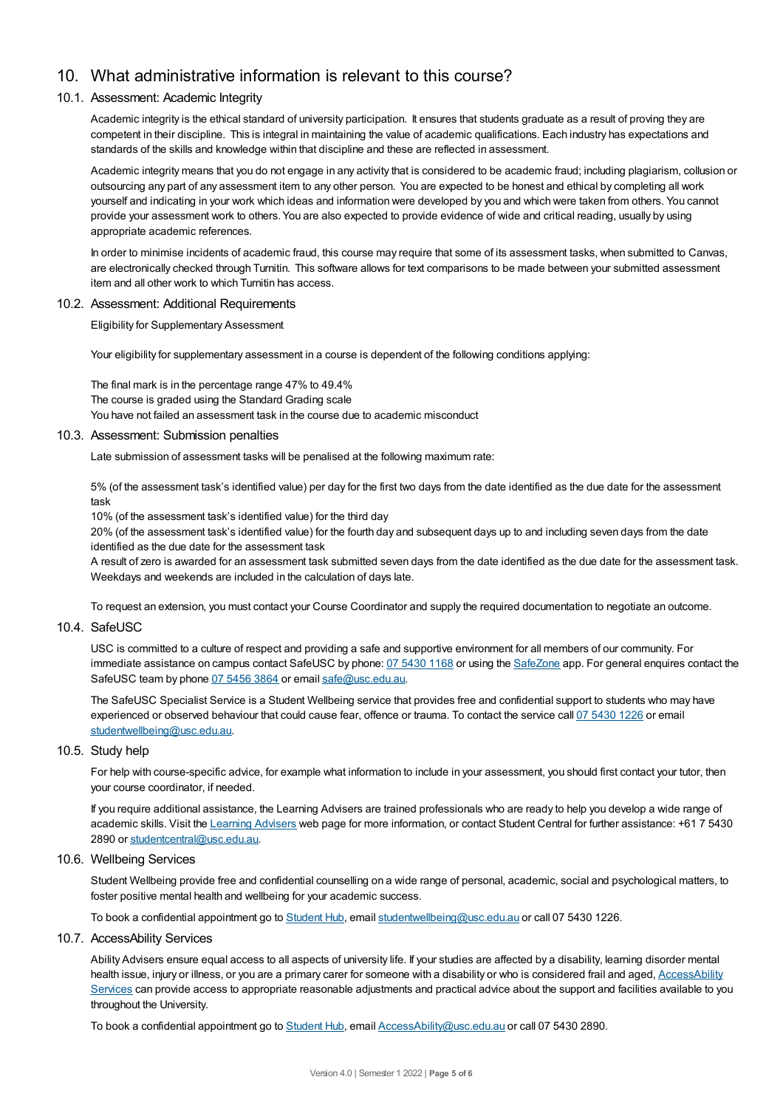# 10. What administrative information is relevant to this course?

#### 10.1. Assessment: Academic Integrity

Academic integrity is the ethical standard of university participation. It ensures that students graduate as a result of proving they are competent in their discipline. This is integral in maintaining the value of academic qualifications. Each industry has expectations and standards of the skills and knowledge within that discipline and these are reflected in assessment.

Academic integrity means that you do not engage in any activity that is considered to be academic fraud; including plagiarism, collusion or outsourcing any part of any assessment item to any other person. You are expected to be honest and ethical by completing all work yourself and indicating in your work which ideas and information were developed by you and which were taken from others. You cannot provide your assessment work to others.You are also expected to provide evidence of wide and critical reading, usually by using appropriate academic references.

In order to minimise incidents of academic fraud, this course may require that some of its assessment tasks, when submitted to Canvas, are electronically checked through Turnitin. This software allows for text comparisons to be made between your submitted assessment item and all other work to which Turnitin has access.

#### 10.2. Assessment: Additional Requirements

Eligibility for Supplementary Assessment

Your eligibility for supplementary assessment in a course is dependent of the following conditions applying:

The final mark is in the percentage range 47% to 49.4% The course is graded using the Standard Grading scale You have not failed an assessment task in the course due to academic misconduct

#### 10.3. Assessment: Submission penalties

Late submission of assessment tasks will be penalised at the following maximum rate:

5% (of the assessment task's identified value) per day for the first two days from the date identified as the due date for the assessment task

10% (of the assessment task's identified value) for the third day

20% (of the assessment task's identified value) for the fourth day and subsequent days up to and including seven days from the date identified as the due date for the assessment task

A result of zero is awarded for an assessment task submitted seven days from the date identified as the due date for the assessment task. Weekdays and weekends are included in the calculation of days late.

To request an extension, you must contact your Course Coordinator and supply the required documentation to negotiate an outcome.

#### 10.4. SafeUSC

USC is committed to a culture of respect and providing a safe and supportive environment for all members of our community. For immediate assistance on campus contact SafeUSC by phone: 07 [5430](tel:07%205430%201168) 1168 or using the [SafeZone](https://www.safezoneapp.com) app. For general enquires contact the SafeUSC team by phone 07 [5456](tel:07%205456%203864) 3864 or email [safe@usc.edu.au](mailto:safe@usc.edu.au).

The SafeUSC Specialist Service is a Student Wellbeing service that provides free and confidential support to students who may have experienced or observed behaviour that could cause fear, offence or trauma. To contact the service call 07 [5430](tel:07%205430%201226) 1226 or email [studentwellbeing@usc.edu.au](mailto:studentwellbeing@usc.edu.au).

#### 10.5. Study help

For help with course-specific advice, for example what information to include in your assessment, you should first contact your tutor, then your course coordinator, if needed.

If you require additional assistance, the Learning Advisers are trained professionals who are ready to help you develop a wide range of academic skills. Visit the Learning [Advisers](https://www.usc.edu.au/current-students/student-support/academic-and-study-support/learning-advisers) web page for more information, or contact Student Central for further assistance: +61 7 5430 2890 or [studentcentral@usc.edu.au](mailto:studentcentral@usc.edu.au).

#### 10.6. Wellbeing Services

Student Wellbeing provide free and confidential counselling on a wide range of personal, academic, social and psychological matters, to foster positive mental health and wellbeing for your academic success.

To book a confidential appointment go to [Student](https://studenthub.usc.edu.au/) Hub, email [studentwellbeing@usc.edu.au](mailto:studentwellbeing@usc.edu.au) or call 07 5430 1226.

#### 10.7. AccessAbility Services

Ability Advisers ensure equal access to all aspects of university life. If your studies are affected by a disability, learning disorder mental health issue, injury or illness, or you are a primary carer for someone with a disability or who is considered frail and aged, [AccessAbility](https://www.usc.edu.au/learn/student-support/accessability-services/documentation-requirements) Services can provide access to appropriate reasonable adjustments and practical advice about the support and facilities available to you throughout the University.

To book a confidential appointment go to [Student](https://studenthub.usc.edu.au/) Hub, email [AccessAbility@usc.edu.au](mailto:AccessAbility@usc.edu.au) or call 07 5430 2890.